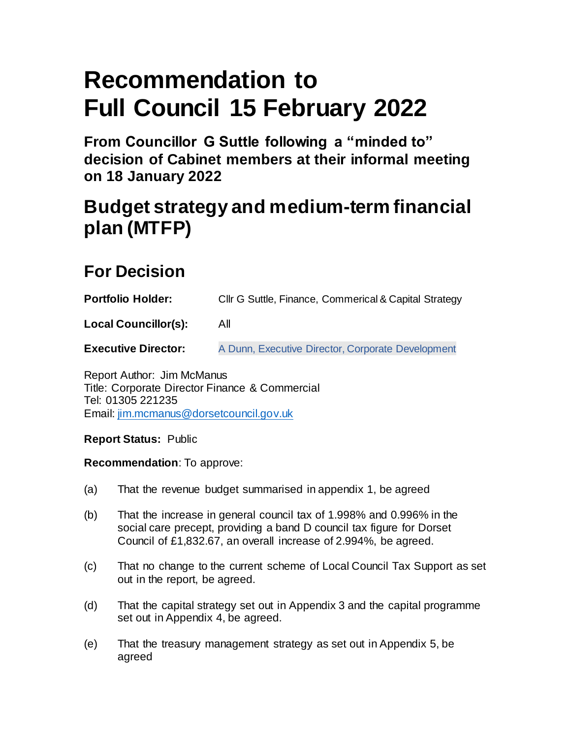# **Recommendation to Full Council 15 February 2022**

**From Councillor G Suttle following a "minded to" decision of Cabinet members at their informal meeting on 18 January 2022**

## **Budget strategy and medium-term financial plan (MTFP)**

### **For Decision**

| <b>Portfolio Holder:</b>    | Cllr G Suttle, Finance, Commerical & Capital Strategy |
|-----------------------------|-------------------------------------------------------|
| <b>Local Councillor(s):</b> | All                                                   |
| <b>Executive Director:</b>  | A Dunn, Executive Director, Corporate Development     |

Report Author: Jim McManus Title: Corporate Director Finance & Commercial Tel: 01305 221235 Email: jim.mcmanus@dorsetcouncil.gov.uk

**Report Status:** Public

**Recommendation**: To approve:

- (a) That the revenue budget summarised in appendix 1, be agreed
- (b) That the increase in general council tax of 1.998% and 0.996% in the social care precept, providing a band D council tax figure for Dorset Council of £1,832.67, an overall increase of 2.994%, be agreed.
- (c) That no change to the current scheme of Local Council Tax Support as set out in the report, be agreed.
- (d) That the capital strategy set out in Appendix 3 and the capital programme set out in Appendix 4, be agreed.
- (e) That the treasury management strategy as set out in Appendix 5, be agreed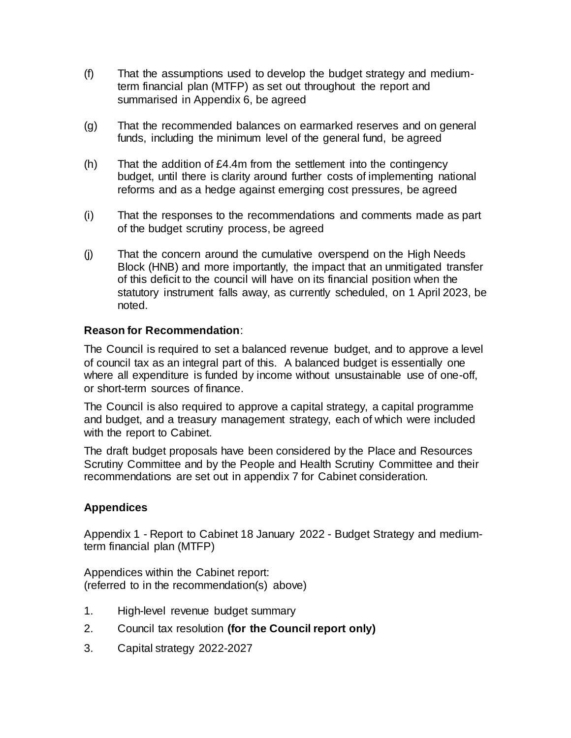- (f) That the assumptions used to develop the budget strategy and mediumterm financial plan (MTFP) as set out throughout the report and summarised in Appendix 6, be agreed
- (g) That the recommended balances on earmarked reserves and on general funds, including the minimum level of the general fund, be agreed
- (h) That the addition of £4.4m from the settlement into the contingency budget, until there is clarity around further costs of implementing national reforms and as a hedge against emerging cost pressures, be agreed
- (i) That the responses to the recommendations and comments made as part of the budget scrutiny process, be agreed
- (j) That the concern around the cumulative overspend on the High Needs Block (HNB) and more importantly, the impact that an unmitigated transfer of this deficit to the council will have on its financial position when the statutory instrument falls away, as currently scheduled, on 1 April 2023, be noted.

#### **Reason for Recommendation**:

The Council is required to set a balanced revenue budget, and to approve a level of council tax as an integral part of this. A balanced budget is essentially one where all expenditure is funded by income without unsustainable use of one-off, or short-term sources of finance.

The Council is also required to approve a capital strategy, a capital programme and budget, and a treasury management strategy, each of which were included with the report to Cabinet.

The draft budget proposals have been considered by the Place and Resources Scrutiny Committee and by the People and Health Scrutiny Committee and their recommendations are set out in appendix 7 for Cabinet consideration.

#### **Appendices**

Appendix 1 - Report to Cabinet 18 January 2022 - Budget Strategy and mediumterm financial plan (MTFP)

Appendices within the Cabinet report: (referred to in the recommendation(s) above)

- 1. High-level revenue budget summary
- 2. Council tax resolution **(for the Council report only)**
- 3. Capital strategy 2022-2027